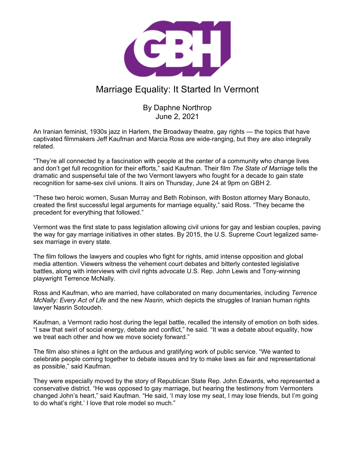

## Marriage Equality: It Started In Vermont

## By Daphne Northrop June 2, 2021

An Iranian feminist, 1930s jazz in Harlem, the Broadway theatre, gay rights — the topics that have captivated filmmakers Jeff Kaufman and Marcia Ross are wide-ranging, but they are also integrally related.

"They're all connected by a fascination with people at the center of a community who change lives and don't get full recognition for their efforts," said Kaufman. Their film *The State of Marriage* tells the dramatic and suspenseful tale of the two Vermont lawyers who fought for a decade to gain state recognition for same-sex civil unions. It airs on Thursday, June 24 at 9pm on GBH 2.

"These two heroic women, Susan Murray and Beth Robinson, with Boston attorney Mary Bonauto, created the first successful legal arguments for marriage equality," said Ross. "They became the precedent for everything that followed."

Vermont was the first state to pass legislation allowing civil unions for gay and lesbian couples, paving the way for gay marriage initiatives in other states. By 2015, the U.S. Supreme Court legalized samesex marriage in every state.

The film follows the lawyers and couples who fight for rights, amid intense opposition and global media attention. Viewers witness the vehement court debates and bitterly contested legislative battles, along with interviews with civil rights advocate U.S. Rep. John Lewis and Tony-winning playwright Terrence McNally.

Ross and Kaufman, who are married, have collaborated on many documentaries, including *Terrence McNally: Every Act of Life* and the new *Nasrin*, which depicts the struggles of Iranian human rights lawyer Nasrin Sotoudeh.

Kaufman, a Vermont radio host during the legal battle, recalled the intensity of emotion on both sides. "I saw that swirl of social energy, debate and conflict," he said. "It was a debate about equality, how we treat each other and how we move society forward."

The film also shines a light on the arduous and gratifying work of public service. "We wanted to celebrate people coming together to debate issues and try to make laws as fair and representational as possible," said Kaufman.

They were especially moved by the story of Republican State Rep. John Edwards, who represented a conservative district. "He was opposed to gay marriage, but hearing the testimony from Vermonters changed John's heart," said Kaufman. "He said, 'I may lose my seat, I may lose friends, but I'm going to do what's right.' I love that role model so much."